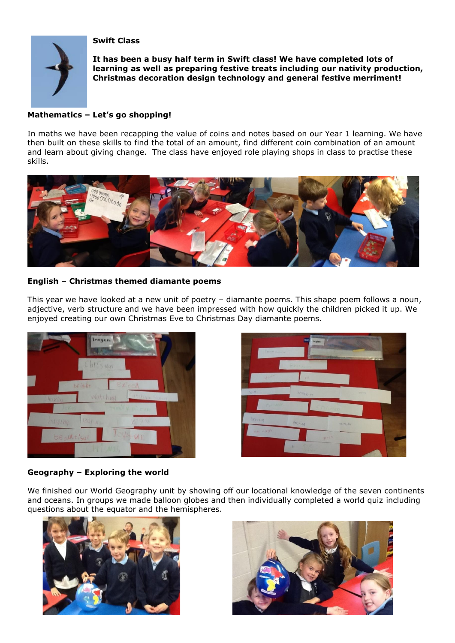**Swift Class**



**It has been a busy half term in Swift class! We have completed lots of learning as well as preparing festive treats including our nativity production, Christmas decoration design technology and general festive merriment!** 

## **Mathematics – Let's go shopping!**

In maths we have been recapping the value of coins and notes based on our Year 1 learning. We have then built on these skills to find the total of an amount, find different coin combination of an amount and learn about giving change. The class have enjoyed role playing shops in class to practise these skills.



## **English – Christmas themed diamante poems**

This year we have looked at a new unit of poetry – diamante poems. This shape poem follows a noun, adjective, verb structure and we have been impressed with how quickly the children picked it up. We enjoyed creating our own Christmas Eve to Christmas Day diamante poems.





## **Geography – Exploring the world**

We finished our World Geography unit by showing off our locational knowledge of the seven continents and oceans. In groups we made balloon globes and then individually completed a world quiz including questions about the equator and the hemispheres.